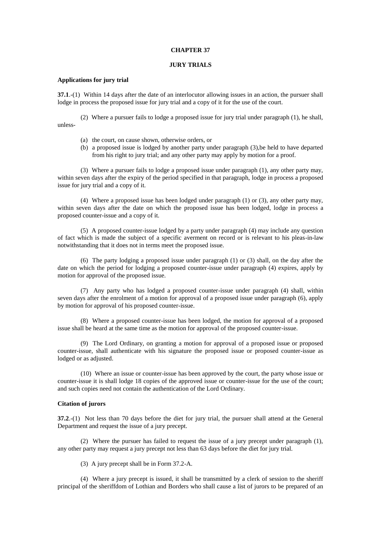#### **CHAPTER 37**

# **JURY TRIALS**

# **Applications for jury trial**

**37.1**.-(1) Within 14 days after the date of an interlocutor allowing issues in an action, the pursuer shall lodge in process the proposed issue for jury trial and a copy of it for the use of the court.

(2) Where a pursuer fails to lodge a proposed issue for jury trial under paragraph (1), he shall, unless-

- (a) the court, on cause shown, otherwise orders, or
- (b) a proposed issue is lodged by another party under paragraph (3),be held to have departed from his right to jury trial; and any other party may apply by motion for a proof.

(3) Where a pursuer fails to lodge a proposed issue under paragraph (1), any other party may, within seven days after the expiry of the period specified in that paragraph, lodge in process a proposed issue for jury trial and a copy of it.

(4) Where a proposed issue has been lodged under paragraph (1) or (3), any other party may, within seven days after the date on which the proposed issue has been lodged, lodge in process a proposed counter-issue and a copy of it.

(5) A proposed counter-issue lodged by a party under paragraph (4) may include any question of fact which is made the subject of a specific averment on record or is relevant to his pleas-in-law notwithstanding that it does not in terms meet the proposed issue.

(6) The party lodging a proposed issue under paragraph (1) or (3) shall, on the day after the date on which the period for lodging a proposed counter-issue under paragraph (4) expires, apply by motion for approval of the proposed issue.

(7) Any party who has lodged a proposed counter-issue under paragraph (4) shall, within seven days after the enrolment of a motion for approval of a proposed issue under paragraph (6), apply by motion for approval of his proposed counter-issue.

(8) Where a proposed counter-issue has been lodged, the motion for approval of a proposed issue shall be heard at the same time as the motion for approval of the proposed counter-issue.

(9) The Lord Ordinary, on granting a motion for approval of a proposed issue or proposed counter-issue, shall authenticate with his signature the proposed issue or proposed counter-issue as lodged or as adjusted.

(10) Where an issue or counter-issue has been approved by the court, the party whose issue or counter-issue it is shall lodge 18 copies of the approved issue or counter-issue for the use of the court; and such copies need not contain the authentication of the Lord Ordinary.

# **Citation of jurors**

**37.2.**-(1) Not less than 70 days before the diet for jury trial, the pursuer shall attend at the General Department and request the issue of a jury precept.

(2) Where the pursuer has failed to request the issue of a jury precept under paragraph (1), any other party may request a jury precept not less than 63 days before the diet for jury trial.

(3) A jury precept shall be in Form 37.2-A.

(4) Where a jury precept is issued, it shall be transmitted by a clerk of session to the sheriff principal of the sheriffdom of Lothian and Borders who shall cause a list of jurors to be prepared of an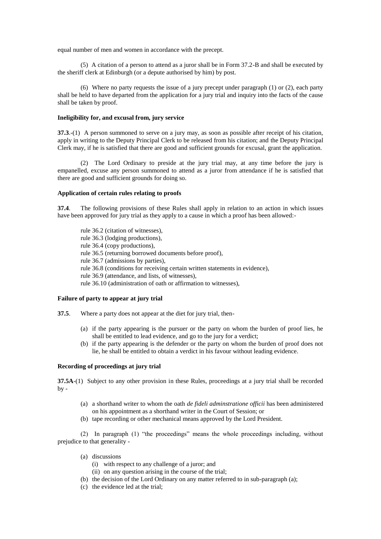equal number of men and women in accordance with the precept.

(5) A citation of a person to attend as a juror shall be in Form 37.2-B and shall be executed by the sheriff clerk at Edinburgh (or a depute authorised by him) by post.

(6) Where no party requests the issue of a jury precept under paragraph  $(1)$  or  $(2)$ , each party shall be held to have departed from the application for a jury trial and inquiry into the facts of the cause shall be taken by proof.

## **Ineligibility for, and excusal from, jury service**

**37.3**.-(1) A person summoned to serve on a jury may, as soon as possible after receipt of his citation, apply in writing to the Deputy Principal Clerk to be released from his citation; and the Deputy Principal Clerk may, if he is satisfied that there are good and sufficient grounds for excusal, grant the application.

(2) The Lord Ordinary to preside at the jury trial may, at any time before the jury is empanelled, excuse any person summoned to attend as a juror from attendance if he is satisfied that there are good and sufficient grounds for doing so.

## **Application of certain rules relating to proofs**

**37.4**. The following provisions of these Rules shall apply in relation to an action in which issues have been approved for jury trial as they apply to a cause in which a proof has been allowed:-

rule 36.2 (citation of witnesses), rule 36.3 (lodging productions), rule 36.4 (copy productions), rule 36.5 (returning borrowed documents before proof), rule 36.7 (admissions by parties), rule 36.8 (conditions for receiving certain written statements in evidence), rule 36.9 (attendance, and lists, of witnesses), rule 36.10 (administration of oath or affirmation to witnesses),

# **Failure of party to appear at jury trial**

- **37.5**. Where a party does not appear at the diet for jury trial, then-
	- (a) if the party appearing is the pursuer or the party on whom the burden of proof lies, he shall be entitled to lead evidence, and go to the jury for a verdict;
	- (b) if the party appearing is the defender or the party on whom the burden of proof does not lie, he shall be entitled to obtain a verdict in his favour without leading evidence.

#### **Recording of proceedings at jury trial**

**37.5A**-(1) Subject to any other provision in these Rules, proceedings at a jury trial shall be recorded by -

- (a) a shorthand writer to whom the oath *de fideli adminstratione officii* has been administered on his appointment as a shorthand writer in the Court of Session; or
- (b) tape recording or other mechanical means approved by the Lord President.

(2) In paragraph (1) "the proceedings" means the whole proceedings including, without prejudice to that generality -

- (a) discussions
	- (i) with respect to any challenge of a juror; and
	- (ii) on any question arising in the course of the trial;
- (b) the decision of the Lord Ordinary on any matter referred to in sub-paragraph (a);
- (c) the evidence led at the trial;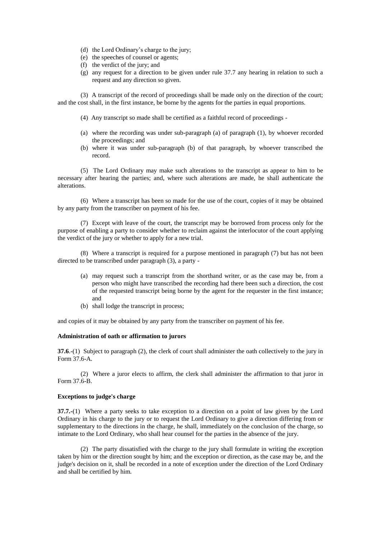- (d) the Lord Ordinary's charge to the jury;
- (e) the speeches of counsel or agents;
- (f) the verdict of the jury; and
- (g) any request for a direction to be given under rule 37.7 any hearing in relation to such a request and any direction so given.

(3) A transcript of the record of proceedings shall be made only on the direction of the court; and the cost shall, in the first instance, be borne by the agents for the parties in equal proportions.

- (4) Any transcript so made shall be certified as a faithful record of proceedings -
- (a) where the recording was under sub-paragraph (a) of paragraph (1), by whoever recorded the proceedings; and
- (b) where it was under sub-paragraph (b) of that paragraph, by whoever transcribed the record.

(5) The Lord Ordinary may make such alterations to the transcript as appear to him to be necessary after hearing the parties; and, where such alterations are made, he shall authenticate the alterations.

(6) Where a transcript has been so made for the use of the court, copies of it may be obtained by any party from the transcriber on payment of his fee.

(7) Except with leave of the court, the transcript may be borrowed from process only for the purpose of enabling a party to consider whether to reclaim against the interlocutor of the court applying the verdict of the jury or whether to apply for a new trial.

(8) Where a transcript is required for a purpose mentioned in paragraph (7) but has not been directed to be transcribed under paragraph (3), a party -

- (a) may request such a transcript from the shorthand writer, or as the case may be, from a person who might have transcribed the recording had there been such a direction, the cost of the requested transcript being borne by the agent for the requester in the first instance; and
- (b) shall lodge the transcript in process;

and copies of it may be obtained by any party from the transcriber on payment of his fee.

### **Administration of oath or affirmation to jurors**

**37.6**.-(1) Subject to paragraph (2), the clerk of court shall administer the oath collectively to the jury in Form 37.6-A.

(2) Where a juror elects to affirm, the clerk shall administer the affirmation to that juror in Form 37.6-B.

# **Exceptions to judge's charge**

**37.7.-**(1) Where a party seeks to take exception to a direction on a point of law given by the Lord Ordinary in his charge to the jury or to request the Lord Ordinary to give a direction differing from or supplementary to the directions in the charge, he shall, immediately on the conclusion of the charge, so intimate to the Lord Ordinary, who shall hear counsel for the parties in the absence of the jury.

(2) The party dissatisfied with the charge to the jury shall formulate in writing the exception taken by him or the direction sought by him; and the exception or direction, as the case may be, and the judge's decision on it, shall be recorded in a note of exception under the direction of the Lord Ordinary and shall be certified by him.